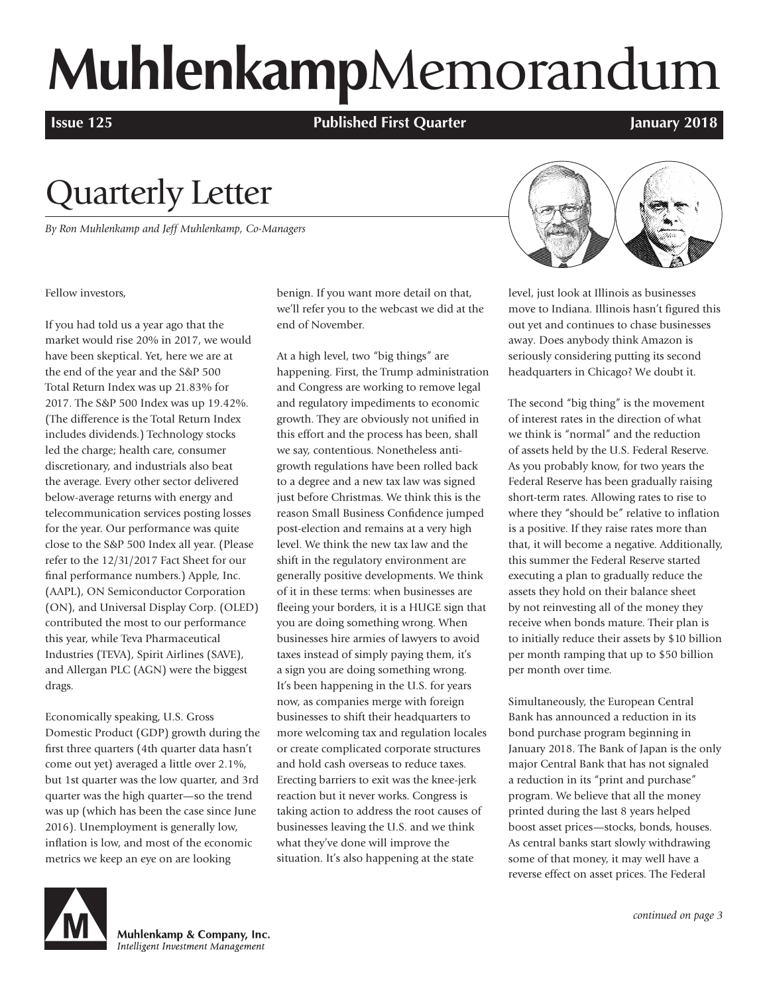# **Muhlenkamp**Memorandum

**Issue 125 Published First Quarter January 2018**

## Quarterly Letter

*By Ron Muhlenkamp and Jeff Muhlenkamp, Co-Managers*



Fellow investors,

If you had told us a year ago that the market would rise 20% in 2017, we would have been skeptical. Yet, here we are at the end of the year and the S&P 500 Total Return Index was up 21.83% for 2017. The S&P 500 Index was up 19.42%. (The difference is the Total Return Index includes dividends.) Technology stocks led the charge; health care, consumer discretionary, and industrials also beat the average. Every other sector delivered below-average returns with energy and telecommunication services posting losses for the year. Our performance was quite close to the S&P 500 Index all year. (Please refer to the 12/31/2017 Fact Sheet for our final performance numbers.) Apple, Inc. (AAPL), ON Semiconductor Corporation (ON), and Universal Display Corp. (OLED) contributed the most to our performance this year, while Teva Pharmaceutical Industries (TEVA), Spirit Airlines (SAVE), and Allergan PLC (AGN) were the biggest drags.

Economically speaking, U.S. Gross Domestic Product (GDP) growth during the first three quarters (4th quarter data hasn't come out yet) averaged a little over 2.1%, but 1st quarter was the low quarter, and 3rd quarter was the high quarter—so the trend was up (which has been the case since June 2016). Unemployment is generally low, inflation is low, and most of the economic metrics we keep an eye on are looking

benign. If you want more detail on that, we'll refer you to the webcast we did at the end of November.

At a high level, two "big things" are happening. First, the Trump administration and Congress are working to remove legal and regulatory impediments to economic growth. They are obviously not unified in this effort and the process has been, shall we say, contentious. Nonetheless antigrowth regulations have been rolled back to a degree and a new tax law was signed just before Christmas. We think this is the reason Small Business Confidence jumped post-election and remains at a very high level. We think the new tax law and the shift in the regulatory environment are generally positive developments. We think of it in these terms: when businesses are fleeing your borders, it is a HUGE sign that you are doing something wrong. When businesses hire armies of lawyers to avoid taxes instead of simply paying them, it's a sign you are doing something wrong. It's been happening in the U.S. for years now, as companies merge with foreign businesses to shift their headquarters to more welcoming tax and regulation locales or create complicated corporate structures and hold cash overseas to reduce taxes. Erecting barriers to exit was the knee-jerk reaction but it never works. Congress is taking action to address the root causes of businesses leaving the U.S. and we think what they've done will improve the situation. It's also happening at the state

level, just look at Illinois as businesses move to Indiana. Illinois hasn't figured this out yet and continues to chase businesses away. Does anybody think Amazon is seriously considering putting its second headquarters in Chicago? We doubt it.

The second "big thing" is the movement of interest rates in the direction of what we think is "normal" and the reduction of assets held by the U.S. Federal Reserve. As you probably know, for two years the Federal Reserve has been gradually raising short-term rates. Allowing rates to rise to where they "should be" relative to inflation is a positive. If they raise rates more than that, it will become a negative. Additionally, this summer the Federal Reserve started executing a plan to gradually reduce the assets they hold on their balance sheet by not reinvesting all of the money they receive when bonds mature. Their plan is to initially reduce their assets by \$10 billion per month ramping that up to \$50 billion per month over time.

Simultaneously, the European Central Bank has announced a reduction in its bond purchase program beginning in January 2018. The Bank of Japan is the only major Central Bank that has not signaled a reduction in its "print and purchase" program. We believe that all the money printed during the last 8 years helped boost asset prices—stocks, bonds, houses. As central banks start slowly withdrawing some of that money, it may well have a reverse effect on asset prices. The Federal



Muhlenkamp & Company, Inc. Intelligent Investment Management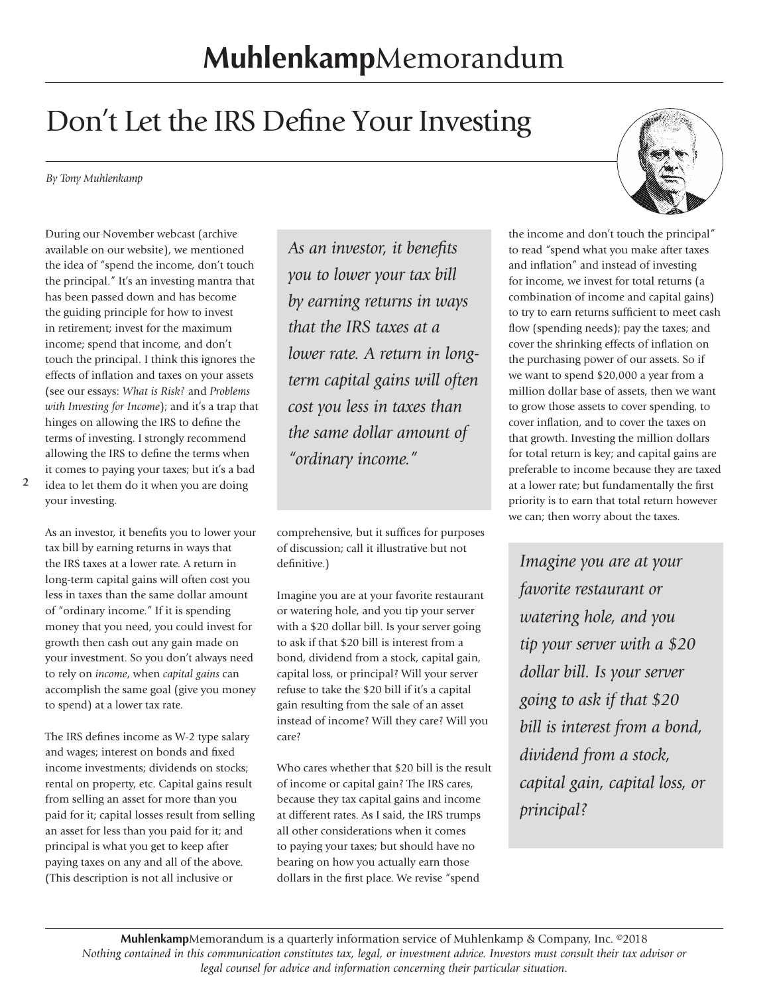## Don't Let the IRS Define Your Investing

*By Tony Muhlenkamp*

During our November webcast (archive available on our website), we mentioned the idea of "spend the income, don't touch the principal." It's an investing mantra that has been passed down and has become the guiding principle for how to invest in retirement; invest for the maximum income; spend that income, and don't touch the principal. I think this ignores the effects of inflation and taxes on your assets (see our essays: *What is Risk?* and *Problems with Investing for Income*); and it's a trap that hinges on allowing the IRS to define the terms of investing. I strongly recommend allowing the IRS to define the terms when it comes to paying your taxes; but it's a bad

idea to let them do it when you are doing your investing.

As an investor, it benefits you to lower your tax bill by earning returns in ways that the IRS taxes at a lower rate. A return in long-term capital gains will often cost you less in taxes than the same dollar amount of "ordinary income." If it is spending money that you need, you could invest for growth then cash out any gain made on your investment. So you don't always need to rely on *income*, when *capital gains* can accomplish the same goal (give you money to spend) at a lower tax rate.

The IRS defines income as W-2 type salary and wages; interest on bonds and fixed income investments; dividends on stocks; rental on property, etc. Capital gains result from selling an asset for more than you paid for it; capital losses result from selling an asset for less than you paid for it; and principal is what you get to keep after paying taxes on any and all of the above. (This description is not all inclusive or

*As an investor, it benefits you to lower your tax bill by earning returns in ways that the IRS taxes at a lower rate. A return in longterm capital gains will often cost you less in taxes than the same dollar amount of "ordinary income."* 

comprehensive, but it suffices for purposes of discussion; call it illustrative but not definitive.)

Imagine you are at your favorite restaurant or watering hole, and you tip your server with a \$20 dollar bill. Is your server going to ask if that \$20 bill is interest from a bond, dividend from a stock, capital gain, capital loss, or principal? Will your server refuse to take the \$20 bill if it's a capital gain resulting from the sale of an asset instead of income? Will they care? Will you care?

Who cares whether that \$20 bill is the result of income or capital gain? The IRS cares, because they tax capital gains and income at different rates. As I said, the IRS trumps all other considerations when it comes to paying your taxes; but should have no bearing on how you actually earn those dollars in the first place. We revise "spend



the income and don't touch the principal" to read "spend what you make after taxes and inflation" and instead of investing for income, we invest for total returns (a combination of income and capital gains) to try to earn returns sufficient to meet cash flow (spending needs); pay the taxes; and cover the shrinking effects of inflation on the purchasing power of our assets. So if we want to spend \$20,000 a year from a million dollar base of assets, then we want to grow those assets to cover spending, to cover inflation, and to cover the taxes on that growth. Investing the million dollars for total return is key; and capital gains are preferable to income because they are taxed at a lower rate; but fundamentally the first priority is to earn that total return however we can; then worry about the taxes.

*Imagine you are at your favorite restaurant or watering hole, and you tip your server with a \$20 dollar bill. Is your server going to ask if that \$20 bill is interest from a bond, dividend from a stock, capital gain, capital loss, or principal?*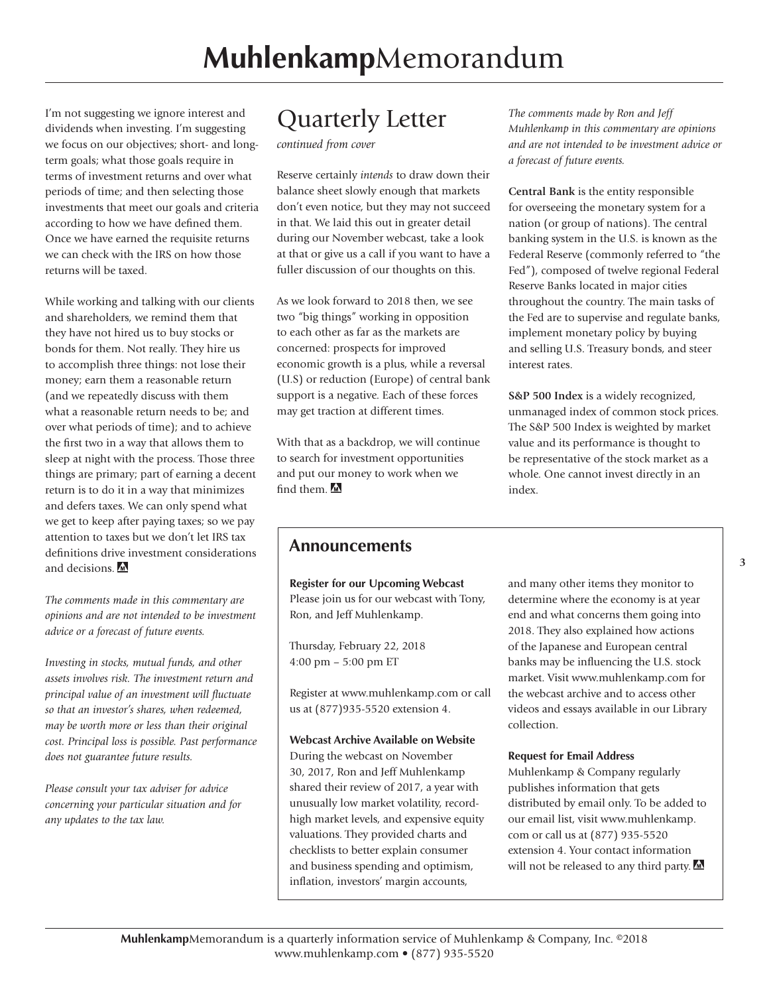I'm not suggesting we ignore interest and dividends when investing. I'm suggesting we focus on our objectives; short- and longterm goals; what those goals require in terms of investment returns and over what periods of time; and then selecting those investments that meet our goals and criteria according to how we have defined them. Once we have earned the requisite returns we can check with the IRS on how those returns will be taxed.

While working and talking with our clients and shareholders, we remind them that they have not hired us to buy stocks or bonds for them. Not really. They hire us to accomplish three things: not lose their money; earn them a reasonable return (and we repeatedly discuss with them what a reasonable return needs to be; and over what periods of time); and to achieve the first two in a way that allows them to sleep at night with the process. Those three things are primary; part of earning a decent return is to do it in a way that minimizes and defers taxes. We can only spend what we get to keep after paying taxes; so we pay attention to taxes but we don't let IRS tax definitions drive investment considerations and decisions.

*The comments made in this commentary are opinions and are not intended to be investment advice or a forecast of future events.*

*Investing in stocks, mutual funds, and other assets involves risk. The investment return and principal value of an investment will fluctuate so that an investor's shares, when redeemed, may be worth more or less than their original cost. Principal loss is possible. Past performance does not guarantee future results.*

*Please consult your tax adviser for advice concerning your particular situation and for any updates to the tax law.*

### Quarterly Letter

*continued from cover*

Reserve certainly *intends* to draw down their balance sheet slowly enough that markets don't even notice, but they may not succeed in that. We laid this out in greater detail during our November webcast, take a look at that or give us a call if you want to have a fuller discussion of our thoughts on this.

As we look forward to 2018 then, we see two "big things" working in opposition to each other as far as the markets are concerned: prospects for improved economic growth is a plus, while a reversal (U.S) or reduction (Europe) of central bank support is a negative. Each of these forces may get traction at different times.

With that as a backdrop, we will continue to search for investment opportunities and put our money to work when we find them.

### **Announcements**

**Register for our Upcoming Webcast**  Please join us for our webcast with Tony, Ron, and Jeff Muhlenkamp.

Thursday, February 22, 2018 4:00 pm – 5:00 pm ET

Register at www.muhlenkamp.com or call us at (877)935-5520 extension 4.

#### **Webcast Archive Available on Website**

During the webcast on November 30, 2017, Ron and Jeff Muhlenkamp shared their review of 2017, a year with unusually low market volatility, recordhigh market levels, and expensive equity valuations. They provided charts and checklists to better explain consumer and business spending and optimism, inflation, investors' margin accounts,

*The comments made by Ron and Jeff Muhlenkamp in this commentary are opinions and are not intended to be investment advice or a forecast of future events.*

**Central Bank** is the entity responsible for overseeing the monetary system for a nation (or group of nations). The central banking system in the U.S. is known as the Federal Reserve (commonly referred to "the Fed"), composed of twelve regional Federal Reserve Banks located in major cities throughout the country. The main tasks of the Fed are to supervise and regulate banks, implement monetary policy by buying and selling U.S. Treasury bonds, and steer interest rates.

**S&P 500 Index** is a widely recognized, unmanaged index of common stock prices. The S&P 500 Index is weighted by market value and its performance is thought to be representative of the stock market as a whole. One cannot invest directly in an index.

and many other items they monitor to determine where the economy is at year end and what concerns them going into 2018. They also explained how actions of the Japanese and European central banks may be influencing the U.S. stock market. Visit www.muhlenkamp.com for the webcast archive and to access other videos and essays available in our Library collection.

#### **Request for Email Address**

Muhlenkamp & Company regularly publishes information that gets distributed by email only. To be added to our email list, visit www.muhlenkamp. com or call us at (877) 935-5520 extension 4. Your contact information will not be released to any third party.  $M$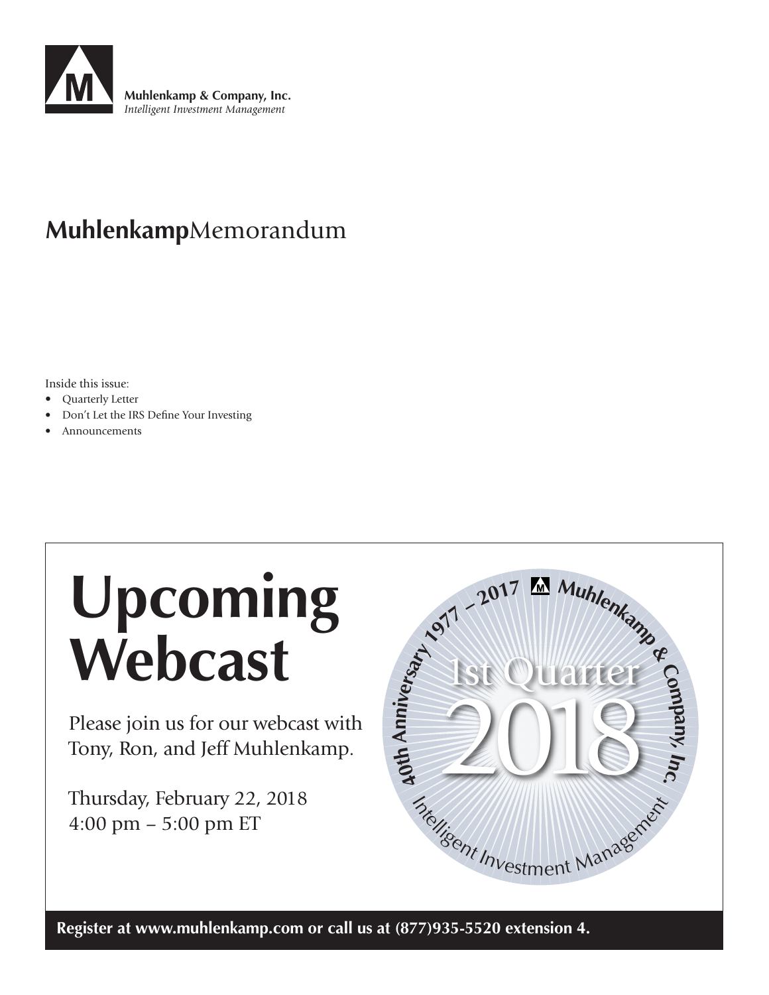

## **Muhlenkamp**Memorandum

Inside this issue:

- Quarterly Letter
- Don't Let the IRS Define Your Investing
- Announcements

## **Upcoming Webcast**

Please join us for our webcast with Tony, Ron, and Jeff Muhlenkamp.

Thursday, February 22, 2018 4:00 pm – 5:00 pm ET



**Register at www.muhlenkamp.com or call us at (877)935-5520 extension 4.**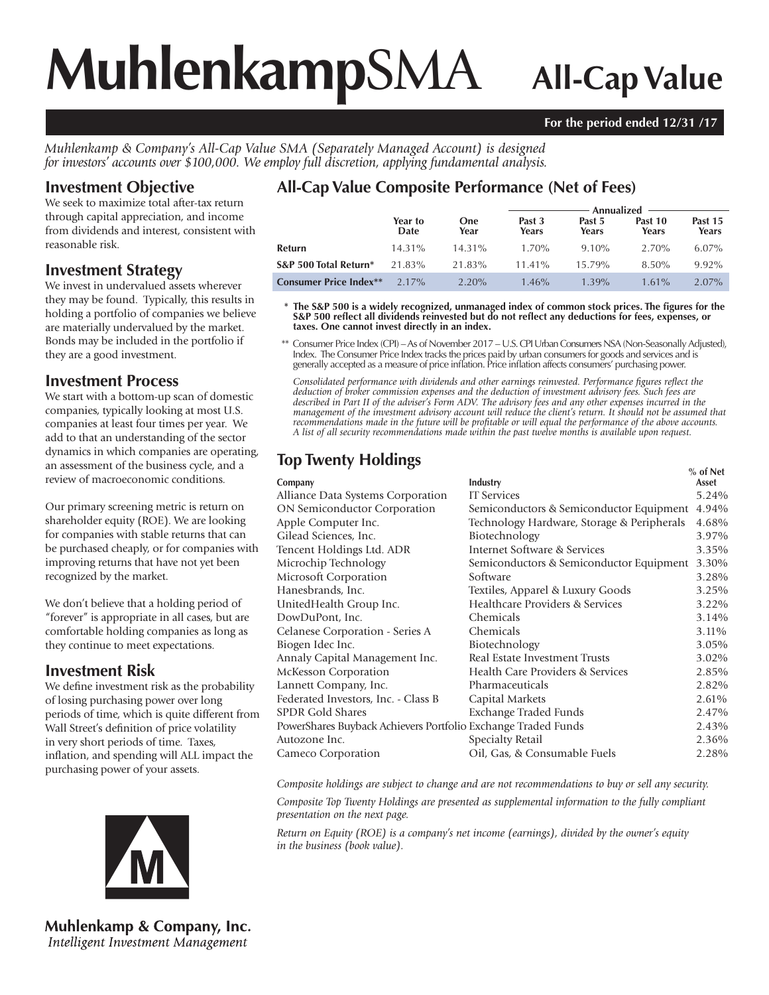# **Muhlenkamp**SMA **All-Cap Value**

#### **For the period ended 12/31 /17**

*Muhlenkamp & Company's All-Cap Value SMA (Separately Managed Account) is designed for investors' accounts over \$100,000. We employ full discretion, applying fundamental analysis.*

#### **Investment Objective**

We seek to maximize total after-tax return through capital appreciation, and income from dividends and interest, consistent with reasonable risk.

#### **Investment Strategy**

We invest in undervalued assets wherever they may be found. Typically, this results in holding a portfolio of companies we believe are materially undervalued by the market. Bonds may be included in the portfolio if they are a good investment.

#### **Investment Process**

We start with a bottom-up scan of domestic companies, typically looking at most U.S. companies at least four times per year. We add to that an understanding of the sector dynamics in which companies are operating, an assessment of the business cycle, and a review of macroeconomic conditions.

Our primary screening metric is return on shareholder equity (ROE). We are looking for companies with stable returns that can be purchased cheaply, or for companies with improving returns that have not yet been recognized by the market.

We don't believe that a holding period of "forever" is appropriate in all cases, but are comfortable holding companies as long as they continue to meet expectations.

#### **Investment Risk**

We define investment risk as the probability of losing purchasing power over long periods of time, which is quite different from Wall Street's definition of price volatility in very short periods of time. Taxes, inflation, and spending will ALL impact the purchasing power of your assets.



**Muhlenkamp & Company, Inc.** Intelligent Investment Management

#### **All-Cap Value Composite Performance (Net of Fees)**

|                               |                 |                    | Annualized      |                 |                  |                  |  |
|-------------------------------|-----------------|--------------------|-----------------|-----------------|------------------|------------------|--|
|                               | Year to<br>Date | <b>One</b><br>Year | Past 3<br>Years | Past 5<br>Years | Past 10<br>Years | Past 15<br>Years |  |
| Refurn                        | $14.31\%$       | $14.31\%$          | $1.70\%$        | $9.10\%$        | 2.70%            | $6.07\%$         |  |
| S&P 500 Total Return*         | 21.83%          | 21.83%             | $11.41\%$       | $15.79\%$       | $8.50\%$         | 9.92%            |  |
| <b>Consumer Price Index**</b> | $2.17\%$        | $2.20\%$           | $1.46\%$        | $1.39\%$        | $1.61\%$         | $2.07\%$         |  |

\* The S&P 500 is a widely recognized, unmanaged index of common stock prices. The figures for the S&P 500 reflect all dividends reinvested but do not reflect any deductions for fees, expenses, or **taxes. One cannot invest directly in an index.**

 \*\* Consumer Price Index (CPI) – As of November 2017 – U.S. CPI Urban Consumers NSA (Non-Seasonally Adjusted), Index. The Consumer Price Index tracks the prices paid by urban consumers for goods and services and is generally accepted as a measure of price infl ation. Price infl ation affects consumers' purchasing power.

Consolidated performance with dividends and other earnings reinvested. Performance figures reflect the *deduction of broker commission expenses and the deduction of investment advisory fees. Such fees are described in Part II of the adviser's Form ADV. The advisory fees and any other expenses incurred in the management of the investment advisory account will reduce the client's return. It should not be assumed that recommendations made in the future will be profi table or will equal the performance of the above accounts. A list of all security recommendations made within the past twelve months is available upon request.*

### **Top Twenty Holdings**

|                                                               |                                            | $%$ of Net |
|---------------------------------------------------------------|--------------------------------------------|------------|
| Company                                                       | Industry                                   | Asset      |
| Alliance Data Systems Corporation                             | <b>IT</b> Services                         | 5.24%      |
| <b>ON Semiconductor Corporation</b>                           | Semiconductors & Semiconductor Equipment   | 4.94%      |
| Apple Computer Inc.                                           | Technology Hardware, Storage & Peripherals | 4.68%      |
| Gilead Sciences, Inc.                                         | Biotechnology                              | 3.97%      |
| Tencent Holdings Ltd. ADR                                     | Internet Software & Services               | 3.35%      |
| Microchip Technology                                          | Semiconductors & Semiconductor Equipment   | 3.30%      |
| Microsoft Corporation                                         | Software                                   | 3.28%      |
| Hanesbrands, Inc.                                             | Textiles, Apparel & Luxury Goods           | 3.25%      |
| UnitedHealth Group Inc.                                       | Healthcare Providers & Services            | 3.22%      |
| DowDuPont, Inc.                                               | Chemicals                                  | 3.14%      |
| Celanese Corporation - Series A                               | Chemicals                                  | 3.11%      |
| Biogen Idec Inc.                                              | Biotechnology                              | 3.05%      |
| Annaly Capital Management Inc.                                | Real Estate Investment Trusts              | 3.02%      |
| <b>McKesson Corporation</b>                                   | Health Care Providers & Services           | 2.85%      |
| Lannett Company, Inc.                                         | Pharmaceuticals                            | 2.82%      |
| Federated Investors, Inc. - Class B                           | Capital Markets                            | 2.61%      |
| SPDR Gold Shares                                              | Exchange Traded Funds                      | 2.47%      |
| PowerShares Buyback Achievers Portfolio Exchange Traded Funds |                                            | 2.43%      |
| Autozone Inc.                                                 | Specialty Retail                           | 2.36%      |
| <b>Cameco Corporation</b>                                     | Oil, Gas, & Consumable Fuels               | 2.28%      |
|                                                               |                                            |            |

*Composite holdings are subject to change and are not recommendations to buy or sell any security.*

*Composite Top Twenty Holdings are presented as supplemental information to the fully compliant presentation on the next page.*

*Return on Equity (ROE) is a company's net income (earnings), divided by the owner's equity in the business (book value).*